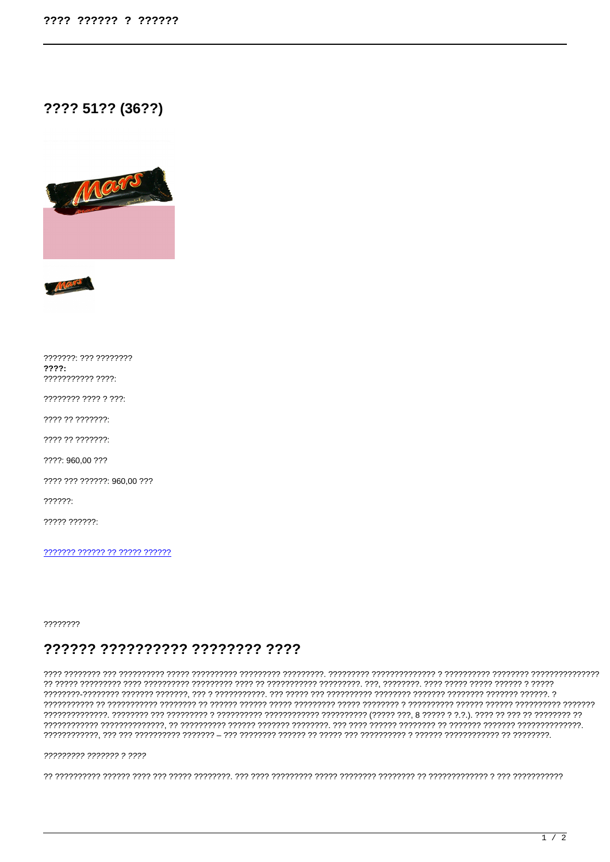# ???? 51?? (36??)



7777777: 777 77777777  $2222:$ ??????????? ????:

???????? ???? ? ???:

???? ?? ???????:

???? ?? ???????:

????: 960.00 ???

???? ??? ??????: 960.00 ???

 $22222.$ 

 $2222222222$ 

??????? ?????? ?? ????? ??????

????????

# ?????? ?????????? ???????? ????

## ????????? ??????? ? ????